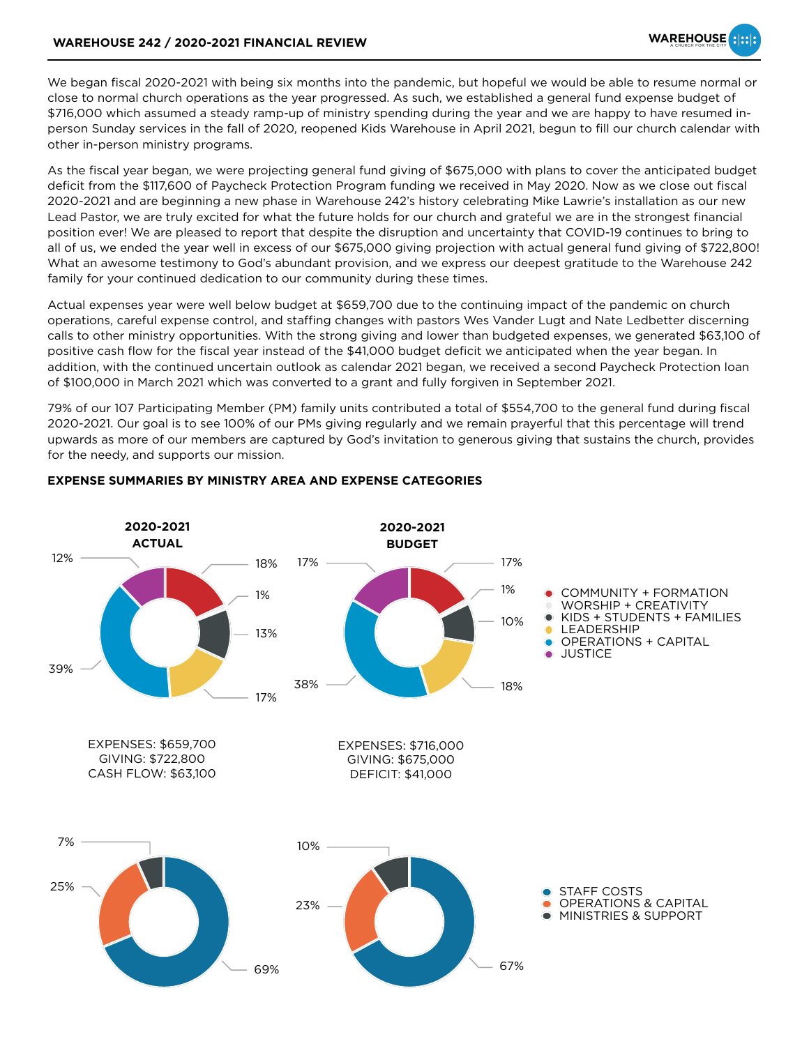We began fiscal 2020-2021 with being six months into the pandemic, but hopeful we would be able to resume normal or close to normal church operations as the year progressed. As such, we established a general fund expense budget of \$716,000 which assumed a steady ramp-up of ministry spending during the year and we are happy to have resumed inperson Sunday services in the fall of 2020, reopened Kids Warehouse in April 2021, begun to fill our church calendar with other in-person ministry programs.

As the fiscal year began, we were projecting general fund giving of \$675,000 with plans to cover the anticipated budget deficit from the \$117,600 of Paycheck Protection Program funding we received in May 2020. Now as we close out fiscal 2020-2021 and are beginning a new phase in Warehouse 242's history celebrating Mike Lawrie's installation as our new Lead Pastor, we are truly excited for what the future holds for our church and grateful we are in the strongest financial position ever! We are pleased to report that despite the disruption and uncertainty that COVID-19 continues to bring to all of us, we ended the year well in excess of our \$675,000 giving projection with actual general fund giving of \$722,800! What an awesome testimony to God's abundant provision, and we express our deepest gratitude to the Warehouse 242 family for your continued dedication to our community during these times.

Actual expenses year were well below budget at \$659,700 due to the continuing impact of the pandemic on church operations, careful expense control, and staffing changes with pastors Wes Vander Lugt and Nate Ledbetter discerning calls to other ministry opportunities. With the strong giving and lower than budgeted expenses, we generated \$63,100 of positive cash flow for the fiscal year instead of the \$41,000 budget deficit we anticipated when the year began. In addition, with the continued uncertain outlook as calendar 2021 began, we received a second Paycheck Protection loan of \$100,000 in March 2021 which was converted to a grant and fully forgiven in September 2021.

79% of our 107 Participating Member (PM) family units contributed a total of \$554,700 to the general fund during fiscal 2020-2021. Our goal is to see 100% of our PMs giving regularly and we remain prayerful that this percentage will trend upwards as more of our members are captured by God's invitation to generous giving that sustains the church, provides for the needy, and supports our mission.



## **EXPENSE SUMMARIES BY MINISTRY AREA AND EXPENSE CATEGORIES**